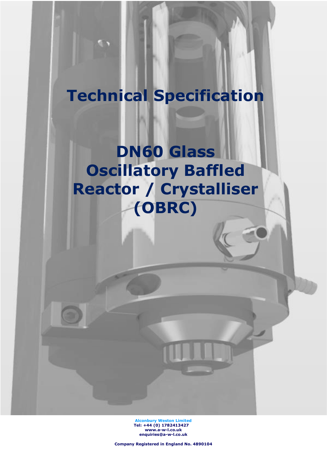# **Technical Specification**

**DN60 Glass Oscillatory Baffled Reactor / Crystalliser (OBRC)**

> **Alconbury Weston Limited Tel: +44 (0) 1782413427 [www.a-w-l.co.uk](http://www.a-w-l.co.uk/) enquiries@a-w-l.co.uk**

**Company Registered in England No. 4890104**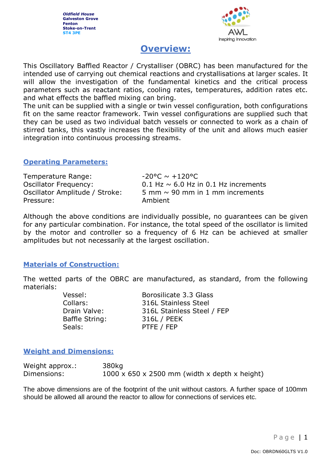*Oldfield House* **Galveston Grove Fenton Stoke-on-Trent ST4 3PE**



# **Overview:**

This Oscillatory Baffled Reactor / Crystalliser (OBRC) has been manufactured for the intended use of carrying out chemical reactions and crystallisations at larger scales. It will allow the investigation of the fundamental kinetics and the critical process parameters such as reactant ratios, cooling rates, temperatures, addition rates etc. and what effects the baffled mixing can bring.

The unit can be supplied with a single or twin vessel configuration, both configurations fit on the same reactor framework. Twin vessel configurations are supplied such that they can be used as two individual batch vessels or connected to work as a chain of stirred tanks, this vastly increases the flexibility of the unit and allows much easier integration into continuous processing streams.

#### **Operating Parameters:**

Temperature Range:  $-20^{\circ}C \sim +120^{\circ}C$ Oscillator Frequency:  $0.1$  Hz  $\sim$  6.0 Hz in 0.1 Hz increments Oscillator Amplitude / Stroke:  $5 \text{ mm} \sim 90 \text{ mm}$  in 1 mm increments Pressure: Ambient

Although the above conditions are individually possible, no guarantees can be given for any particular combination. For instance, the total speed of the oscillator is limited by the motor and controller so a frequency of 6 Hz can be achieved at smaller amplitudes but not necessarily at the largest oscillation.

# **Materials of Construction:**

The wetted parts of the OBRC are manufactured, as standard, from the following materials:

> Vessel: Borosilicate 3.3 Glass Collars: 316L Stainless Steel Drain Valve: 316L Stainless Steel / FEP Baffle String: 316L / PEEK Seals: PTFE / FEP

# **Weight and Dimensions:**

| Weight approx.: | 380kg                                                     |
|-----------------|-----------------------------------------------------------|
| Dimensions:     | $1000 \times 650 \times 2500$ mm (width x depth x height) |

The above dimensions are of the footprint of the unit without castors. A further space of 100mm should be allowed all around the reactor to allow for connections of services etc.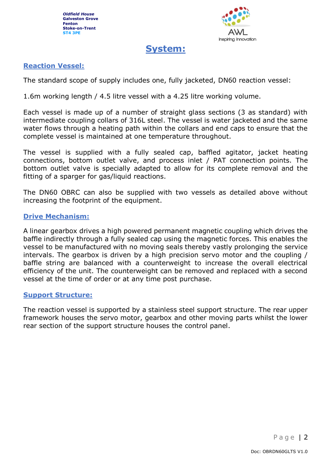

# **System:**

# **Reaction Vessel:**

The standard scope of supply includes one, fully jacketed, DN60 reaction vessel:

1.6m working length / 4.5 litre vessel with a 4.25 litre working volume.

Each vessel is made up of a number of straight glass sections (3 as standard) with intermediate coupling collars of 316L steel. The vessel is water jacketed and the same water flows through a heating path within the collars and end caps to ensure that the complete vessel is maintained at one temperature throughout.

The vessel is supplied with a fully sealed cap, baffled agitator, jacket heating connections, bottom outlet valve, and process inlet / PAT connection points. The bottom outlet valve is specially adapted to allow for its complete removal and the fitting of a sparger for gas/liquid reactions.

The DN60 OBRC can also be supplied with two vessels as detailed above without increasing the footprint of the equipment.

#### **Drive Mechanism:**

A linear gearbox drives a high powered permanent magnetic coupling which drives the baffle indirectly through a fully sealed cap using the magnetic forces. This enables the vessel to be manufactured with no moving seals thereby vastly prolonging the service intervals. The gearbox is driven by a high precision servo motor and the coupling / baffle string are balanced with a counterweight to increase the overall electrical efficiency of the unit. The counterweight can be removed and replaced with a second vessel at the time of order or at any time post purchase.

#### **Support Structure:**

The reaction vessel is supported by a stainless steel support structure. The rear upper framework houses the servo motor, gearbox and other moving parts whilst the lower rear section of the support structure houses the control panel.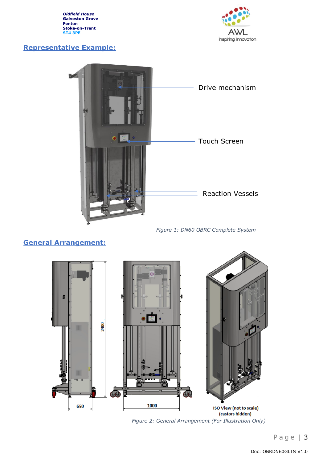*Oldfield House* **Galveston Grove Fenton Stoke-on-Trent ST4 3PE**

# **Representative Example:**





*Figure 1: DN60 OBRC Complete System*

# **General Arrangement:**



*Figure 2: General Arrangement (For Illustration Only)*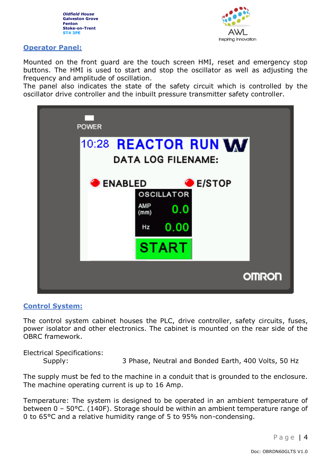



#### **Operator Panel:**

Mounted on the front guard are the touch screen HMI, reset and emergency stop buttons. The HMI is used to start and stop the oscillator as well as adjusting the frequency and amplitude of oscillation.

The panel also indicates the state of the safety circuit which is controlled by the oscillator drive controller and the inbuilt pressure transmitter safety controller.



#### **Control System:**

The control system cabinet houses the PLC, drive controller, safety circuits, fuses, power isolator and other electronics. The cabinet is mounted on the rear side of the OBRC framework.

Electrical Specifications:

Supply: 3 Phase, Neutral and Bonded Earth, 400 Volts, 50 Hz

The supply must be fed to the machine in a conduit that is grounded to the enclosure. The machine operating current is up to 16 Amp.

Temperature: The system is designed to be operated in an ambient temperature of between 0 – 50°C. (140F). Storage should be within an ambient temperature range of 0 to 65°C and a relative humidity range of 5 to 95% non-condensing.